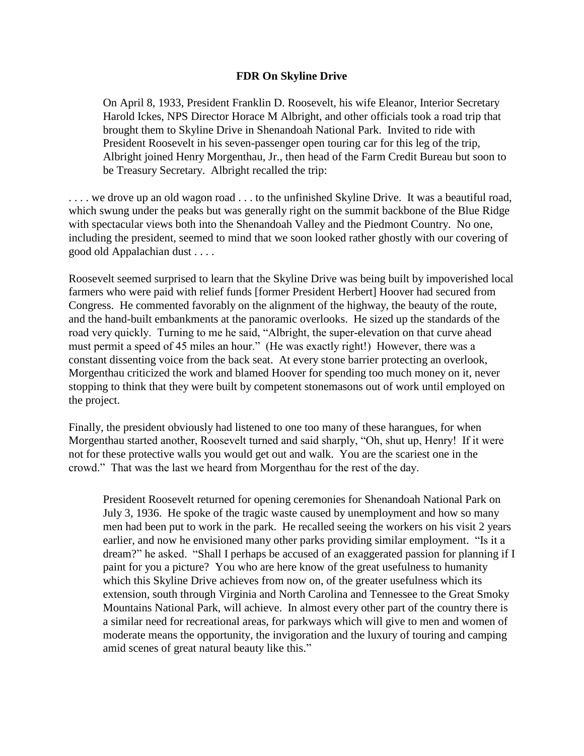## **FDR On Skyline Drive**

On April 8, 1933, President Franklin D. Roosevelt, his wife Eleanor, Interior Secretary Harold Ickes, NPS Director Horace M Albright, and other officials took a road trip that brought them to Skyline Drive in Shenandoah National Park. Invited to ride with President Roosevelt in his seven-passenger open touring car for this leg of the trip, Albright joined Henry Morgenthau, Jr., then head of the Farm Credit Bureau but soon to be Treasury Secretary. Albright recalled the trip:

... we drove up an old wagon road ... to the unfinished Skyline Drive. It was a beautiful road, which swung under the peaks but was generally right on the summit backbone of the Blue Ridge with spectacular views both into the Shenandoah Valley and the Piedmont Country. No one, including the president, seemed to mind that we soon looked rather ghostly with our covering of good old Appalachian dust . . . .

Roosevelt seemed surprised to learn that the Skyline Drive was being built by impoverished local farmers who were paid with relief funds [former President Herbert] Hoover had secured from Congress. He commented favorably on the alignment of the highway, the beauty of the route, and the hand-built embankments at the panoramic overlooks. He sized up the standards of the road very quickly. Turning to me he said, "Albright, the super-elevation on that curve ahead must permit a speed of 45 miles an hour." (He was exactly right!) However, there was a constant dissenting voice from the back seat. At every stone barrier protecting an overlook, Morgenthau criticized the work and blamed Hoover for spending too much money on it, never stopping to think that they were built by competent stonemasons out of work until employed on the project.

Finally, the president obviously had listened to one too many of these harangues, for when Morgenthau started another, Roosevelt turned and said sharply, "Oh, shut up, Henry! If it were not for these protective walls you would get out and walk. You are the scariest one in the crowd." That was the last we heard from Morgenthau for the rest of the day.

President Roosevelt returned for opening ceremonies for Shenandoah National Park on July 3, 1936. He spoke of the tragic waste caused by unemployment and how so many men had been put to work in the park. He recalled seeing the workers on his visit 2 years earlier, and now he envisioned many other parks providing similar employment. "Is it a dream?" he asked. "Shall I perhaps be accused of an exaggerated passion for planning if I paint for you a picture? You who are here know of the great usefulness to humanity which this Skyline Drive achieves from now on, of the greater usefulness which its extension, south through Virginia and North Carolina and Tennessee to the Great Smoky Mountains National Park, will achieve. In almost every other part of the country there is a similar need for recreational areas, for parkways which will give to men and women of moderate means the opportunity, the invigoration and the luxury of touring and camping amid scenes of great natural beauty like this."